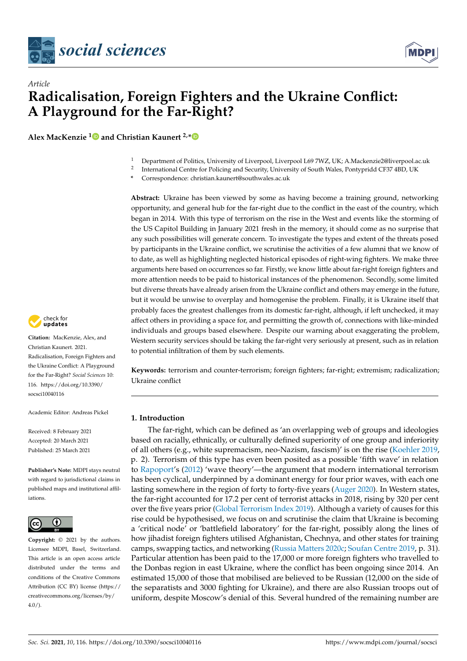



# **Radicalisation, Foreign Fighters and the Ukraine Conflict: A Playground for the Far-Right?**

**Alex MacKenzie [1](https://orcid.org/0000-0002-4329-4761) and Christian Kaunert 2,[\\*](https://orcid.org/0000-0002-4493-2235)**

- <sup>1</sup> Department of Politics, University of Liverpool, Liverpool L69 7WZ, UK; A.Mackenzie2@liverpool.ac.uk
- 2 International Centre for Policing and Security, University of South Wales, Pontypridd CF37 4BD, UK

**\*** Correspondence: christian.kaunert@southwales.ac.uk

**Abstract:** Ukraine has been viewed by some as having become a training ground, networking opportunity, and general hub for the far-right due to the conflict in the east of the country, which began in 2014. With this type of terrorism on the rise in the West and events like the storming of the US Capitol Building in January 2021 fresh in the memory, it should come as no surprise that any such possibilities will generate concern. To investigate the types and extent of the threats posed by participants in the Ukraine conflict, we scrutinise the activities of a few alumni that we know of to date, as well as highlighting neglected historical episodes of right-wing fighters. We make three arguments here based on occurrences so far. Firstly, we know little about far-right foreign fighters and more attention needs to be paid to historical instances of the phenomenon. Secondly, some limited but diverse threats have already arisen from the Ukraine conflict and others may emerge in the future, but it would be unwise to overplay and homogenise the problem. Finally, it is Ukraine itself that probably faces the greatest challenges from its domestic far-right, although, if left unchecked, it may affect others in providing a space for, and permitting the growth of, connections with like-minded individuals and groups based elsewhere. Despite our warning about exaggerating the problem, Western security services should be taking the far-right very seriously at present, such as in relation to potential infiltration of them by such elements.

**Keywords:** terrorism and counter-terrorism; foreign fighters; far-right; extremism; radicalization; Ukraine conflict

## **1. Introduction**

The far-right, which can be defined as 'an overlapping web of groups and ideologies based on racially, ethnically, or culturally defined superiority of one group and inferiority of all others (e.g., white supremacism, neo-Nazism, fascism)' is on the rise [\(Koehler](#page-14-0) [2019,](#page-14-0) p. 2). Terrorism of this type has even been posited as a possible 'fifth wave' in relation to [Rapoport'](#page-14-1)s [\(2012\)](#page-14-1) 'wave theory'—the argument that modern international terrorism has been cyclical, underpinned by a dominant energy for four prior waves, with each one lasting somewhere in the region of forty to forty-five years [\(Auger](#page-12-0) [2020\)](#page-12-0). In Western states, the far-right accounted for 17.2 per cent of terrorist attacks in 2018, rising by 320 per cent over the five years prior [\(Global Terrorism Index](#page-13-0) [2019\)](#page-13-0). Although a variety of causes for this rise could be hypothesised, we focus on and scrutinise the claim that Ukraine is becoming a 'critical node' or 'battlefield laboratory' for the far-right, possibly along the lines of how jihadist foreign fighters utilised Afghanistan, Chechnya, and other states for training camps, swapping tactics, and networking [\(Russia Matters](#page-14-2) [2020c;](#page-14-2) [Soufan Centre](#page-14-3) [2019,](#page-14-3) p. 31). Particular attention has been paid to the 17,000 or more foreign fighters who travelled to the Donbas region in east Ukraine, where the conflict has been ongoing since 2014. An estimated 15,000 of those that mobilised are believed to be Russian (12,000 on the side of the separatists and 3000 fighting for Ukraine), and there are also Russian troops out of uniform, despite Moscow's denial of this. Several hundred of the remaining number are



*Article*

**Citation:** MacKenzie, Alex, and Christian Kaunert. 2021. Radicalisation, Foreign Fighters and the Ukraine Conflict: A Playground for the Far-Right? *Social Sciences* 10: 116. [https://doi.org/10.3390/](https://doi.org/10.3390/socsci10040116) [socsci10040116](https://doi.org/10.3390/socsci10040116)

Academic Editor: Andreas Pickel

Received: 8 February 2021 Accepted: 20 March 2021 Published: 25 March 2021

**Publisher's Note:** MDPI stays neutral with regard to jurisdictional claims in published maps and institutional affiliations.



**Copyright:** © 2021 by the authors. Licensee MDPI, Basel, Switzerland. This article is an open access article distributed under the terms and conditions of the Creative Commons Attribution (CC BY) license (https:/[/](https://creativecommons.org/licenses/by/4.0/) [creativecommons.org/licenses/by/](https://creativecommons.org/licenses/by/4.0/)  $4.0/$ ).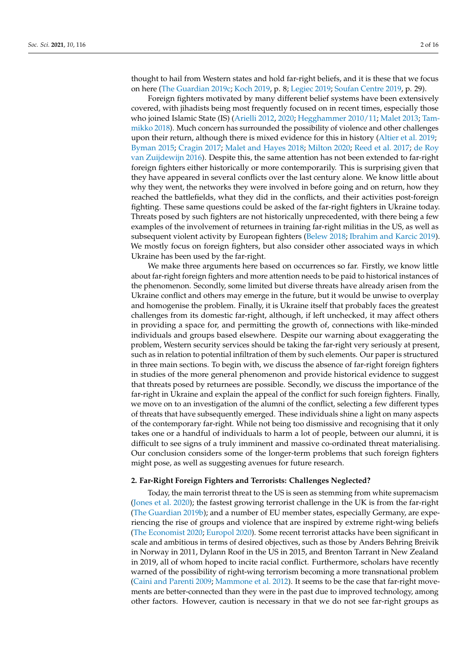thought to hail from Western states and hold far-right beliefs, and it is these that we focus on here [\(The Guardian](#page-15-0) [2019c;](#page-15-0) [Koch](#page-14-4) [2019,](#page-14-4) p. 8; [Legiec](#page-14-5) [2019;](#page-14-5) [Soufan Centre](#page-14-3) [2019,](#page-14-3) p. 29).

Foreign fighters motivated by many different belief systems have been extensively covered, with jihadists being most frequently focused on in recent times, especially those who joined Islamic State (IS) [\(Arielli](#page-12-1) [2012,](#page-12-1) [2020;](#page-12-2) [Hegghammer](#page-13-1) [2010/11;](#page-13-1) [Malet](#page-14-6) [2013;](#page-14-6) [Tam](#page-15-1)[mikko](#page-15-1) [2018\)](#page-15-1). Much concern has surrounded the possibility of violence and other challenges upon their return, although there is mixed evidence for this in history [\(Altier et al.](#page-12-3) [2019;](#page-12-3) [Byman](#page-12-4) [2015;](#page-12-4) [Cragin](#page-12-5) [2017;](#page-12-5) [Malet and Hayes](#page-14-7) [2018;](#page-14-7) [Milton](#page-14-8) [2020;](#page-14-8) [Reed et al.](#page-14-9) [2017;](#page-14-9) [de Roy](#page-13-2) [van Zuijdewijn](#page-13-2) [2016\)](#page-13-2). Despite this, the same attention has not been extended to far-right foreign fighters either historically or more contemporarily. This is surprising given that they have appeared in several conflicts over the last century alone. We know little about why they went, the networks they were involved in before going and on return, how they reached the battlefields, what they did in the conflicts, and their activities post-foreign fighting. These same questions could be asked of the far-right fighters in Ukraine today. Threats posed by such fighters are not historically unprecedented, with there being a few examples of the involvement of returnees in training far-right militias in the US, as well as subsequent violent activity by European fighters [\(Belew](#page-12-6) [2018;](#page-12-6) [Ibrahim and Karcic](#page-13-3) [2019\)](#page-13-3). We mostly focus on foreign fighters, but also consider other associated ways in which Ukraine has been used by the far-right.

We make three arguments here based on occurrences so far. Firstly, we know little about far-right foreign fighters and more attention needs to be paid to historical instances of the phenomenon. Secondly, some limited but diverse threats have already arisen from the Ukraine conflict and others may emerge in the future, but it would be unwise to overplay and homogenise the problem. Finally, it is Ukraine itself that probably faces the greatest challenges from its domestic far-right, although, if left unchecked, it may affect others in providing a space for, and permitting the growth of, connections with like-minded individuals and groups based elsewhere. Despite our warning about exaggerating the problem, Western security services should be taking the far-right very seriously at present, such as in relation to potential infiltration of them by such elements. Our paper is structured in three main sections. To begin with, we discuss the absence of far-right foreign fighters in studies of the more general phenomenon and provide historical evidence to suggest that threats posed by returnees are possible. Secondly, we discuss the importance of the far-right in Ukraine and explain the appeal of the conflict for such foreign fighters. Finally, we move on to an investigation of the alumni of the conflict, selecting a few different types of threats that have subsequently emerged. These individuals shine a light on many aspects of the contemporary far-right. While not being too dismissive and recognising that it only takes one or a handful of individuals to harm a lot of people, between our alumni, it is difficult to see signs of a truly imminent and massive co-ordinated threat materialising. Our conclusion considers some of the longer-term problems that such foreign fighters might pose, as well as suggesting avenues for future research.

## **2. Far-Right Foreign Fighters and Terrorists: Challenges Neglected?**

Today, the main terrorist threat to the US is seen as stemming from white supremacism [\(Jones et al.](#page-13-4) [2020\)](#page-13-4); the fastest growing terrorist challenge in the UK is from the far-right [\(The Guardian](#page-15-2) [2019b\)](#page-15-2); and a number of EU member states, especially Germany, are experiencing the rise of groups and violence that are inspired by extreme right-wing beliefs [\(The Economist](#page-15-3) [2020;](#page-15-3) [Europol](#page-13-5) [2020\)](#page-13-5). Some recent terrorist attacks have been significant in scale and ambitious in terms of desired objectives, such as those by Anders Behring Breivik in Norway in 2011, Dylann Roof in the US in 2015, and Brenton Tarrant in New Zealand in 2019, all of whom hoped to incite racial conflict. Furthermore, scholars have recently warned of the possibility of right-wing terrorism becoming a more transnational problem [\(Caini and Parenti](#page-12-7) [2009;](#page-12-7) [Mammone et al.](#page-14-10) [2012\)](#page-14-10). It seems to be the case that far-right movements are better-connected than they were in the past due to improved technology, among other factors. However, caution is necessary in that we do not see far-right groups as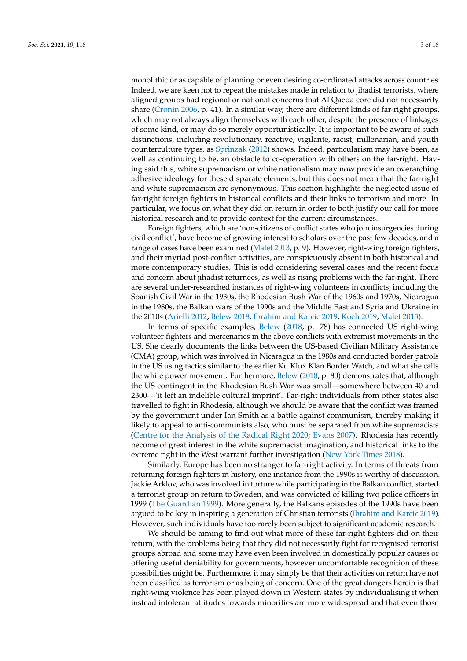monolithic or as capable of planning or even desiring co-ordinated attacks across countries. Indeed, we are keen not to repeat the mistakes made in relation to jihadist terrorists, where aligned groups had regional or national concerns that Al Qaeda core did not necessarily share [\(Cronin](#page-12-8) [2006,](#page-12-8) p. 41). In a similar way, there are different kinds of far-right groups, which may not always align themselves with each other, despite the presence of linkages of some kind, or may do so merely opportunistically. It is important to be aware of such distinctions, including revolutionary, reactive, vigilante, racist, millenarian, and youth counterculture types, as [Sprinzak](#page-14-11) [\(2012\)](#page-14-11) shows. Indeed, particularism may have been, as well as continuing to be, an obstacle to co-operation with others on the far-right. Having said this, white supremacism or white nationalism may now provide an overarching adhesive ideology for these disparate elements, but this does not mean that the far-right and white supremacism are synonymous. This section highlights the neglected issue of far-right foreign fighters in historical conflicts and their links to terrorism and more. In particular, we focus on what they did on return in order to both justify our call for more historical research and to provide context for the current circumstances.

Foreign fighters, which are 'non-citizens of conflict states who join insurgencies during civil conflict', have become of growing interest to scholars over the past few decades, and a range of cases have been examined [\(Malet](#page-14-6) [2013,](#page-14-6) p. 9). However, right-wing foreign fighters, and their myriad post-conflict activities, are conspicuously absent in both historical and more contemporary studies. This is odd considering several cases and the recent focus and concern about jihadist returnees, as well as rising problems with the far-right. There are several under-researched instances of right-wing volunteers in conflicts, including the Spanish Civil War in the 1930s, the Rhodesian Bush War of the 1960s and 1970s, Nicaragua in the 1980s, the Balkan wars of the 1990s and the Middle East and Syria and Ukraine in the 2010s [\(Arielli](#page-12-1) [2012;](#page-12-1) [Belew](#page-12-6) [2018;](#page-12-6) [Ibrahim and Karcic](#page-13-3) [2019;](#page-13-3) [Koch](#page-14-4) [2019;](#page-14-4) [Malet](#page-14-6) [2013\)](#page-14-6).

In terms of specific examples, [Belew](#page-12-6) [\(2018,](#page-12-6) p. 78) has connected US right-wing volunteer fighters and mercenaries in the above conflicts with extremist movements in the US. She clearly documents the links between the US-based Civilian Military Assistance (CMA) group, which was involved in Nicaragua in the 1980s and conducted border patrols in the US using tactics similar to the earlier Ku Klux Klan Border Watch, and what she calls the white power movement. Furthermore, [Belew](#page-12-6) [\(2018,](#page-12-6) p. 80) demonstrates that, although the US contingent in the Rhodesian Bush War was small—somewhere between 40 and 2300—'it left an indelible cultural imprint'. Far-right individuals from other states also travelled to fight in Rhodesia, although we should be aware that the conflict was framed by the government under Ian Smith as a battle against communism, thereby making it likely to appeal to anti-communists also, who must be separated from white supremacists [\(Centre for the Analysis of the Radical Right](#page-12-9) [2020;](#page-12-9) [Evans](#page-13-6) [2007\)](#page-13-6). Rhodesia has recently become of great interest in the white supremacist imagination, and historical links to the extreme right in the West warrant further investigation [\(New York Times](#page-14-12) [2018\)](#page-14-12).

Similarly, Europe has been no stranger to far-right activity. In terms of threats from returning foreign fighters in history, one instance from the 1990s is worthy of discussion. Jackie Arklov, who was involved in torture while participating in the Balkan conflict, started a terrorist group on return to Sweden, and was convicted of killing two police officers in 1999 [\(The Guardian](#page-15-4) [1999\)](#page-15-4). More generally, the Balkans episodes of the 1990s have been argued to be key in inspiring a generation of Christian terrorists [\(Ibrahim and Karcic](#page-13-3) [2019\)](#page-13-3). However, such individuals have too rarely been subject to significant academic research.

We should be aiming to find out what more of these far-right fighters did on their return, with the problems being that they did not necessarily fight for recognised terrorist groups abroad and some may have even been involved in domestically popular causes or offering useful deniability for governments, however uncomfortable recognition of these possibilities might be. Furthermore, it may simply be that their activities on return have not been classified as terrorism or as being of concern. One of the great dangers herein is that right-wing violence has been played down in Western states by individualising it when instead intolerant attitudes towards minorities are more widespread and that even those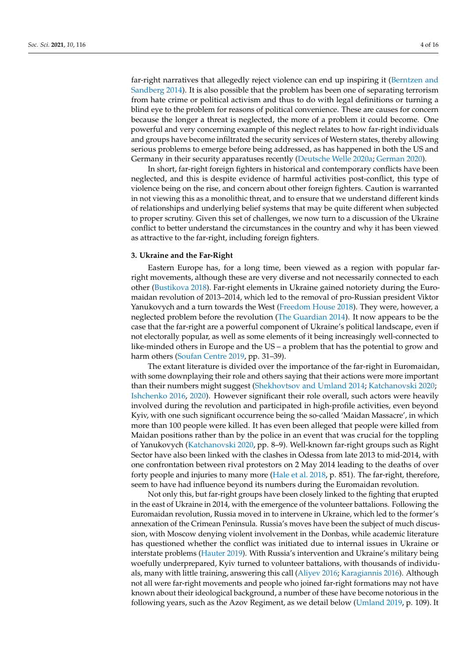far-right narratives that allegedly reject violence can end up inspiring it [\(Berntzen and](#page-12-10) [Sandberg](#page-12-10) [2014\)](#page-12-10). It is also possible that the problem has been one of separating terrorism from hate crime or political activism and thus to do with legal definitions or turning a blind eye to the problem for reasons of political convenience. These are causes for concern because the longer a threat is neglected, the more of a problem it could become. One powerful and very concerning example of this neglect relates to how far-right individuals and groups have become infiltrated the security services of Western states, thereby allowing serious problems to emerge before being addressed, as has happened in both the US and Germany in their security apparatuses recently [\(Deutsche Welle](#page-13-7) [2020a;](#page-13-7) [German](#page-13-8) [2020\)](#page-13-8).

In short, far-right foreign fighters in historical and contemporary conflicts have been neglected, and this is despite evidence of harmful activities post-conflict, this type of violence being on the rise, and concern about other foreign fighters. Caution is warranted in not viewing this as a monolithic threat, and to ensure that we understand different kinds of relationships and underlying belief systems that may be quite different when subjected to proper scrutiny. Given this set of challenges, we now turn to a discussion of the Ukraine conflict to better understand the circumstances in the country and why it has been viewed as attractive to the far-right, including foreign fighters.

## **3. Ukraine and the Far-Right**

Eastern Europe has, for a long time, been viewed as a region with popular farright movements, although these are very diverse and not necessarily connected to each other [\(Bustikova](#page-12-11) [2018\)](#page-12-11). Far-right elements in Ukraine gained notoriety during the Euromaidan revolution of 2013–2014, which led to the removal of pro-Russian president Viktor Yanukovych and a turn towards the West [\(Freedom House](#page-13-9) [2018\)](#page-13-9). They were, however, a neglected problem before the revolution [\(The Guardian](#page-15-5) [2014\)](#page-15-5). It now appears to be the case that the far-right are a powerful component of Ukraine's political landscape, even if not electorally popular, as well as some elements of it being increasingly well-connected to like-minded others in Europe and the US – a problem that has the potential to grow and harm others [\(Soufan Centre](#page-14-3) [2019,](#page-14-3) pp. 31–39).

The extant literature is divided over the importance of the far-right in Euromaidan, with some downplaying their role and others saying that their actions were more important than their numbers might suggest [\(Shekhovtsov and Umland](#page-14-13) [2014;](#page-14-13) [Katchanovski](#page-13-10) [2020;](#page-13-10) [Ishchenko](#page-13-11) [2016,](#page-13-11) [2020\)](#page-13-12). However significant their role overall, such actors were heavily involved during the revolution and participated in high-profile activities, even beyond Kyiv, with one such significant occurrence being the so-called 'Maidan Massacre', in which more than 100 people were killed. It has even been alleged that people were killed from Maidan positions rather than by the police in an event that was crucial for the toppling of Yanukovych [\(Katchanovski](#page-13-10) [2020,](#page-13-10) pp. 8–9). Well-known far-right groups such as Right Sector have also been linked with the clashes in Odessa from late 2013 to mid-2014, with one confrontation between rival protestors on 2 May 2014 leading to the deaths of over forty people and injuries to many more [\(Hale et al.](#page-13-13) [2018,](#page-13-13) p. 851). The far-right, therefore, seem to have had influence beyond its numbers during the Euromaidan revolution.

Not only this, but far-right groups have been closely linked to the fighting that erupted in the east of Ukraine in 2014, with the emergence of the volunteer battalions. Following the Euromaidan revolution, Russia moved in to intervene in Ukraine, which led to the former's annexation of the Crimean Peninsula. Russia's moves have been the subject of much discussion, with Moscow denying violent involvement in the Donbas, while academic literature has questioned whether the conflict was initiated due to internal issues in Ukraine or interstate problems [\(Hauter](#page-13-14) [2019\)](#page-13-14). With Russia's intervention and Ukraine's military being woefully underprepared, Kyiv turned to volunteer battalions, with thousands of individuals, many with little training, answering this call [\(Aliyev](#page-12-12) [2016;](#page-12-12) [Karagiannis](#page-13-15) [2016\)](#page-13-15). Although not all were far-right movements and people who joined far-right formations may not have known about their ideological background, a number of these have become notorious in the following years, such as the Azov Regiment, as we detail below [\(Umland](#page-15-6) [2019,](#page-15-6) p. 109). It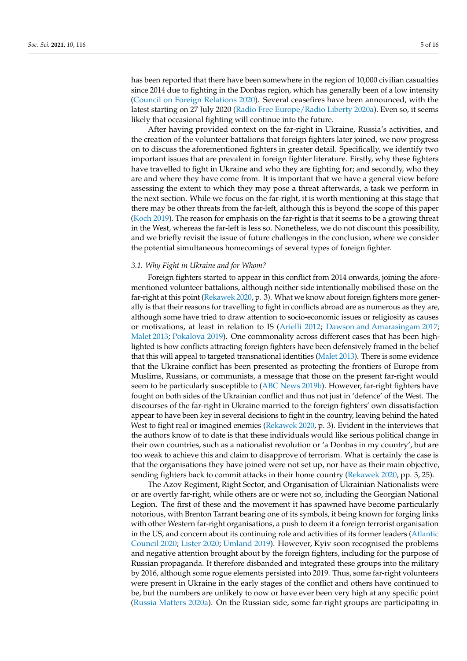has been reported that there have been somewhere in the region of 10,000 civilian casualties since 2014 due to fighting in the Donbas region, which has generally been of a low intensity [\(Council on Foreign Relations](#page-12-13) [2020\)](#page-12-13). Several ceasefires have been announced, with the latest starting on 27 July 2020 [\(Radio Free Europe/Radio Liberty](#page-14-14) [2020a\)](#page-14-14). Even so, it seems likely that occasional fighting will continue into the future.

After having provided context on the far-right in Ukraine, Russia's activities, and the creation of the volunteer battalions that foreign fighters later joined, we now progress on to discuss the aforementioned fighters in greater detail. Specifically, we identify two important issues that are prevalent in foreign fighter literature. Firstly, why these fighters have travelled to fight in Ukraine and who they are fighting for; and secondly, who they are and where they have come from. It is important that we have a general view before assessing the extent to which they may pose a threat afterwards, a task we perform in the next section. While we focus on the far-right, it is worth mentioning at this stage that there may be other threats from the far-left, although this is beyond the scope of this paper [\(Koch](#page-14-4) [2019\)](#page-14-4). The reason for emphasis on the far-right is that it seems to be a growing threat in the West, whereas the far-left is less so. Nonetheless, we do not discount this possibility, and we briefly revisit the issue of future challenges in the conclusion, where we consider the potential simultaneous homecomings of several types of foreign fighter.

## *3.1. Why Fight in Ukraine and for Whom?*

Foreign fighters started to appear in this conflict from 2014 onwards, joining the aforementioned volunteer battalions, although neither side intentionally mobilised those on the far-right at this point [\(Rekawek](#page-14-15) [2020,](#page-14-15) p. 3). What we know about foreign fighters more generally is that their reasons for travelling to fight in conflicts abroad are as numerous as they are, although some have tried to draw attention to socio-economic issues or religiosity as causes or motivations, at least in relation to IS [\(Arielli](#page-12-1) [2012;](#page-12-1) [Dawson and Amarasingam](#page-12-14) [2017;](#page-12-14) [Malet](#page-14-6) [2013;](#page-14-6) [Pokalova](#page-14-16) [2019\)](#page-14-16). One commonality across different cases that has been highlighted is how conflicts attracting foreign fighters have been defensively framed in the belief that this will appeal to targeted transnational identities [\(Malet](#page-14-6) [2013\)](#page-14-6). There is some evidence that the Ukraine conflict has been presented as protecting the frontiers of Europe from Muslims, Russians, or communists, a message that those on the present far-right would seem to be particularly susceptible to [\(ABC News](#page-12-15) [2019b\)](#page-12-15). However, far-right fighters have fought on both sides of the Ukrainian conflict and thus not just in 'defence' of the West. The discourses of the far-right in Ukraine married to the foreign fighters' own dissatisfaction appear to have been key in several decisions to fight in the country, leaving behind the hated West to fight real or imagined enemies [\(Rekawek](#page-14-15) [2020,](#page-14-15) p. 3). Evident in the interviews that the authors know of to date is that these individuals would like serious political change in their own countries, such as a nationalist revolution or 'a Donbas in my country', but are too weak to achieve this and claim to disapprove of terrorism. What is certainly the case is that the organisations they have joined were not set up, nor have as their main objective, sending fighters back to commit attacks in their home country [\(Rekawek](#page-14-15) [2020,](#page-14-15) pp. 3, 25).

The Azov Regiment, Right Sector, and Organisation of Ukrainian Nationalists were or are overtly far-right, while others are or were not so, including the Georgian National Legion. The first of these and the movement it has spawned have become particularly notorious, with Brenton Tarrant bearing one of its symbols, it being known for forging links with other Western far-right organisations, a push to deem it a foreign terrorist organisation in the US, and concern about its continuing role and activities of its former leaders [\(Atlantic](#page-12-16) [Council](#page-12-16) [2020;](#page-12-16) [Lister](#page-14-17) [2020;](#page-14-17) [Umland](#page-15-6) [2019\)](#page-15-6). However, Kyiv soon recognised the problems and negative attention brought about by the foreign fighters, including for the purpose of Russian propaganda. It therefore disbanded and integrated these groups into the military by 2016, although some rogue elements persisted into 2019. Thus, some far-right volunteers were present in Ukraine in the early stages of the conflict and others have continued to be, but the numbers are unlikely to now or have ever been very high at any specific point [\(Russia Matters](#page-14-18) [2020a\)](#page-14-18). On the Russian side, some far-right groups are participating in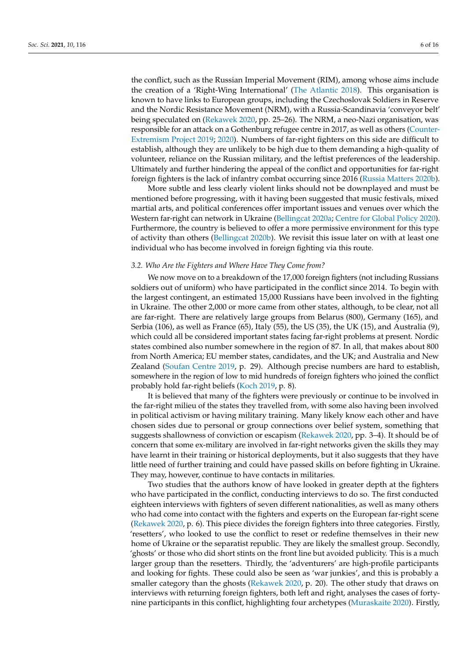the conflict, such as the Russian Imperial Movement (RIM), among whose aims include the creation of a 'Right-Wing International' [\(The Atlantic](#page-15-7) [2018\)](#page-15-7). This organisation is known to have links to European groups, including the Czechoslovak Soldiers in Reserve and the Nordic Resistance Movement (NRM), with a Russia-Scandinavia 'conveyor belt' being speculated on [\(Rekawek](#page-14-15) [2020,](#page-14-15) pp. 25–26). The NRM, a neo-Nazi organisation, was responsible for an attack on a Gothenburg refugee centre in 2017, as well as others [\(Counter-](#page-12-17)[Extremism Project](#page-12-17) [2019;](#page-12-17) [2020\)](#page-12-18). Numbers of far-right fighters on this side are difficult to establish, although they are unlikely to be high due to them demanding a high-quality of volunteer, reliance on the Russian military, and the leftist preferences of the leadership. Ultimately and further hindering the appeal of the conflict and opportunities for far-right foreign fighters is the lack of infantry combat occurring since 2016 [\(Russia Matters](#page-14-19) [2020b\)](#page-14-19).

More subtle and less clearly violent links should not be downplayed and must be mentioned before progressing, with it having been suggested that music festivals, mixed martial arts, and political conferences offer important issues and venues over which the Western far-right can network in Ukraine [\(Bellingcat](#page-12-19) [2020a;](#page-12-19) [Centre for Global Policy](#page-12-20) [2020\)](#page-12-20). Furthermore, the country is believed to offer a more permissive environment for this type of activity than others [\(Bellingcat](#page-12-21) [2020b\)](#page-12-21). We revisit this issue later on with at least one individual who has become involved in foreign fighting via this route.

## *3.2. Who Are the Fighters and Where Have They Come from?*

We now move on to a breakdown of the 17,000 foreign fighters (not including Russians soldiers out of uniform) who have participated in the conflict since 2014. To begin with the largest contingent, an estimated 15,000 Russians have been involved in the fighting in Ukraine. The other 2,000 or more came from other states, although, to be clear, not all are far-right. There are relatively large groups from Belarus (800), Germany (165), and Serbia (106), as well as France (65), Italy (55), the US (35), the UK (15), and Australia (9), which could all be considered important states facing far-right problems at present. Nordic states combined also number somewhere in the region of 87. In all, that makes about 800 from North America; EU member states, candidates, and the UK; and Australia and New Zealand [\(Soufan Centre](#page-14-3) [2019,](#page-14-3) p. 29). Although precise numbers are hard to establish, somewhere in the region of low to mid hundreds of foreign fighters who joined the conflict probably hold far-right beliefs [\(Koch](#page-14-4) [2019,](#page-14-4) p. 8).

It is believed that many of the fighters were previously or continue to be involved in the far-right milieu of the states they travelled from, with some also having been involved in political activism or having military training. Many likely know each other and have chosen sides due to personal or group connections over belief system, something that suggests shallowness of conviction or escapism [\(Rekawek](#page-14-15) [2020,](#page-14-15) pp. 3–4). It should be of concern that some ex-military are involved in far-right networks given the skills they may have learnt in their training or historical deployments, but it also suggests that they have little need of further training and could have passed skills on before fighting in Ukraine. They may, however, continue to have contacts in militaries.

Two studies that the authors know of have looked in greater depth at the fighters who have participated in the conflict, conducting interviews to do so. The first conducted eighteen interviews with fighters of seven different nationalities, as well as many others who had come into contact with the fighters and experts on the European far-right scene [\(Rekawek](#page-14-15) [2020,](#page-14-15) p. 6). This piece divides the foreign fighters into three categories. Firstly, 'resetters', who looked to use the conflict to reset or redefine themselves in their new home of Ukraine or the separatist republic. They are likely the smallest group. Secondly, 'ghosts' or those who did short stints on the front line but avoided publicity. This is a much larger group than the resetters. Thirdly, the 'adventurers' are high-profile participants and looking for fights. These could also be seen as 'war junkies', and this is probably a smaller category than the ghosts [\(Rekawek](#page-14-15) [2020,](#page-14-15) p. 20). The other study that draws on interviews with returning foreign fighters, both left and right, analyses the cases of fortynine participants in this conflict, highlighting four archetypes [\(Muraskaite](#page-14-20) [2020\)](#page-14-20). Firstly,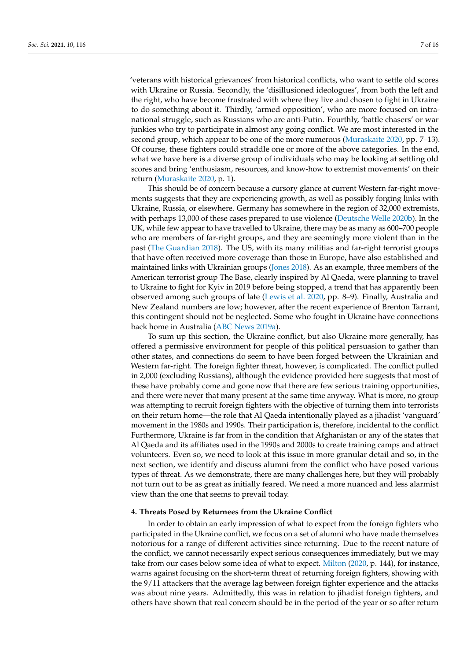'veterans with historical grievances' from historical conflicts, who want to settle old scores with Ukraine or Russia. Secondly, the 'disillusioned ideologues', from both the left and the right, who have become frustrated with where they live and chosen to fight in Ukraine to do something about it. Thirdly, 'armed opposition', who are more focused on intranational struggle, such as Russians who are anti-Putin. Fourthly, 'battle chasers' or war junkies who try to participate in almost any going conflict. We are most interested in the second group, which appear to be one of the more numerous [\(Muraskaite](#page-14-20) [2020,](#page-14-20) pp. 7–13). Of course, these fighters could straddle one or more of the above categories. In the end, what we have here is a diverse group of individuals who may be looking at settling old scores and bring 'enthusiasm, resources, and know-how to extremist movements' on their return [\(Muraskaite](#page-14-20) [2020,](#page-14-20) p. 1).

This should be of concern because a cursory glance at current Western far-right movements suggests that they are experiencing growth, as well as possibly forging links with Ukraine, Russia, or elsewhere. Germany has somewhere in the region of 32,000 extremists, with perhaps 13,000 of these cases prepared to use violence [\(Deutsche Welle](#page-13-16) [2020b\)](#page-13-16). In the UK, while few appear to have travelled to Ukraine, there may be as many as 600–700 people who are members of far-right groups, and they are seemingly more violent than in the past [\(The Guardian](#page-15-8) [2018\)](#page-15-8). The US, with its many militias and far-right terrorist groups that have often received more coverage than those in Europe, have also established and maintained links with Ukrainian groups [\(Jones](#page-13-17) [2018\)](#page-13-17). As an example, three members of the American terrorist group The Base, clearly inspired by Al Qaeda, were planning to travel to Ukraine to fight for Kyiv in 2019 before being stopped, a trend that has apparently been observed among such groups of late [\(Lewis et al.](#page-14-21) [2020,](#page-14-21) pp. 8–9). Finally, Australia and New Zealand numbers are low; however, after the recent experience of Brenton Tarrant, this contingent should not be neglected. Some who fought in Ukraine have connections back home in Australia [\(ABC News](#page-12-22) [2019a\)](#page-12-22).

To sum up this section, the Ukraine conflict, but also Ukraine more generally, has offered a permissive environment for people of this political persuasion to gather than other states, and connections do seem to have been forged between the Ukrainian and Western far-right. The foreign fighter threat, however, is complicated. The conflict pulled in 2,000 (excluding Russians), although the evidence provided here suggests that most of these have probably come and gone now that there are few serious training opportunities, and there were never that many present at the same time anyway. What is more, no group was attempting to recruit foreign fighters with the objective of turning them into terrorists on their return home—the role that Al Qaeda intentionally played as a jihadist 'vanguard' movement in the 1980s and 1990s. Their participation is, therefore, incidental to the conflict. Furthermore, Ukraine is far from in the condition that Afghanistan or any of the states that Al Qaeda and its affiliates used in the 1990s and 2000s to create training camps and attract volunteers. Even so, we need to look at this issue in more granular detail and so, in the next section, we identify and discuss alumni from the conflict who have posed various types of threat. As we demonstrate, there are many challenges here, but they will probably not turn out to be as great as initially feared. We need a more nuanced and less alarmist view than the one that seems to prevail today.

## **4. Threats Posed by Returnees from the Ukraine Conflict**

In order to obtain an early impression of what to expect from the foreign fighters who participated in the Ukraine conflict, we focus on a set of alumni who have made themselves notorious for a range of different activities since returning. Due to the recent nature of the conflict, we cannot necessarily expect serious consequences immediately, but we may take from our cases below some idea of what to expect. [Milton](#page-14-8) [\(2020,](#page-14-8) p. 144), for instance, warns against focusing on the short-term threat of returning foreign fighters, showing with the 9/11 attackers that the average lag between foreign fighter experience and the attacks was about nine years. Admittedly, this was in relation to jihadist foreign fighters, and others have shown that real concern should be in the period of the year or so after return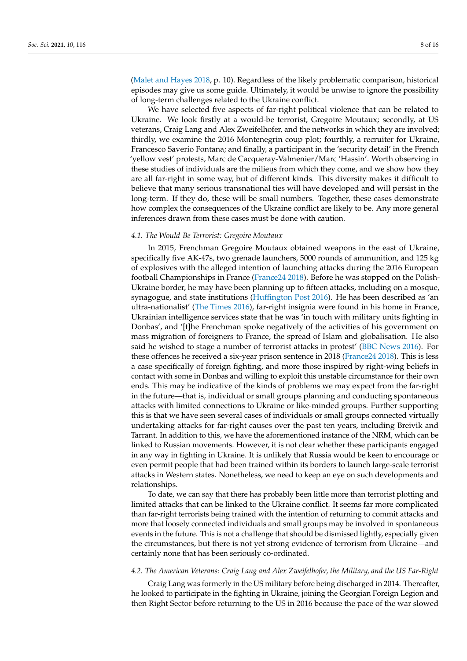[\(Malet and Hayes](#page-14-7) [2018,](#page-14-7) p. 10). Regardless of the likely problematic comparison, historical episodes may give us some guide. Ultimately, it would be unwise to ignore the possibility of long-term challenges related to the Ukraine conflict.

We have selected five aspects of far-right political violence that can be related to Ukraine. We look firstly at a would-be terrorist, Gregoire Moutaux; secondly, at US veterans, Craig Lang and Alex Zweifelhofer, and the networks in which they are involved; thirdly, we examine the 2016 Montenegrin coup plot; fourthly, a recruiter for Ukraine, Francesco Saverio Fontana; and finally, a participant in the 'security detail' in the French 'yellow vest' protests, Marc de Cacqueray-Valmenier/Marc 'Hassin'. Worth observing in these studies of individuals are the milieus from which they come, and we show how they are all far-right in some way, but of different kinds. This diversity makes it difficult to believe that many serious transnational ties will have developed and will persist in the long-term. If they do, these will be small numbers. Together, these cases demonstrate how complex the consequences of the Ukraine conflict are likely to be. Any more general inferences drawn from these cases must be done with caution.

## *4.1. The Would-Be Terrorist: Gregoire Moutaux*

In 2015, Frenchman Gregoire Moutaux obtained weapons in the east of Ukraine, specifically five AK-47s, two grenade launchers, 5000 rounds of ammunition, and 125 kg of explosives with the alleged intention of launching attacks during the 2016 European football Championships in France [\(France24](#page-13-18) [2018\)](#page-13-18). Before he was stopped on the Polish-Ukraine border, he may have been planning up to fifteen attacks, including on a mosque, synagogue, and state institutions [\(Huffington Post](#page-13-19) [2016\)](#page-13-19). He has been described as 'an ultra-nationalist' [\(The Times](#page-15-9) [2016\)](#page-15-9), far-right insignia were found in his home in France, Ukrainian intelligence services state that he was 'in touch with military units fighting in Donbas', and '[t]he Frenchman spoke negatively of the activities of his government on mass migration of foreigners to France, the spread of Islam and globalisation. He also said he wished to stage a number of terrorist attacks in protest' [\(BBC News](#page-12-23) [2016\)](#page-12-23). For these offences he received a six-year prison sentence in 2018 [\(France24](#page-13-18) [2018\)](#page-13-18). This is less a case specifically of foreign fighting, and more those inspired by right-wing beliefs in contact with some in Donbas and willing to exploit this unstable circumstance for their own ends. This may be indicative of the kinds of problems we may expect from the far-right in the future—that is, individual or small groups planning and conducting spontaneous attacks with limited connections to Ukraine or like-minded groups. Further supporting this is that we have seen several cases of individuals or small groups connected virtually undertaking attacks for far-right causes over the past ten years, including Breivik and Tarrant. In addition to this, we have the aforementioned instance of the NRM, which can be linked to Russian movements. However, it is not clear whether these participants engaged in any way in fighting in Ukraine. It is unlikely that Russia would be keen to encourage or even permit people that had been trained within its borders to launch large-scale terrorist attacks in Western states. Nonetheless, we need to keep an eye on such developments and relationships.

To date, we can say that there has probably been little more than terrorist plotting and limited attacks that can be linked to the Ukraine conflict. It seems far more complicated than far-right terrorists being trained with the intention of returning to commit attacks and more that loosely connected individuals and small groups may be involved in spontaneous events in the future. This is not a challenge that should be dismissed lightly, especially given the circumstances, but there is not yet strong evidence of terrorism from Ukraine—and certainly none that has been seriously co-ordinated.

### *4.2. The American Veterans: Craig Lang and Alex Zweifelhofer, the Military, and the US Far-Right*

Craig Lang was formerly in the US military before being discharged in 2014. Thereafter, he looked to participate in the fighting in Ukraine, joining the Georgian Foreign Legion and then Right Sector before returning to the US in 2016 because the pace of the war slowed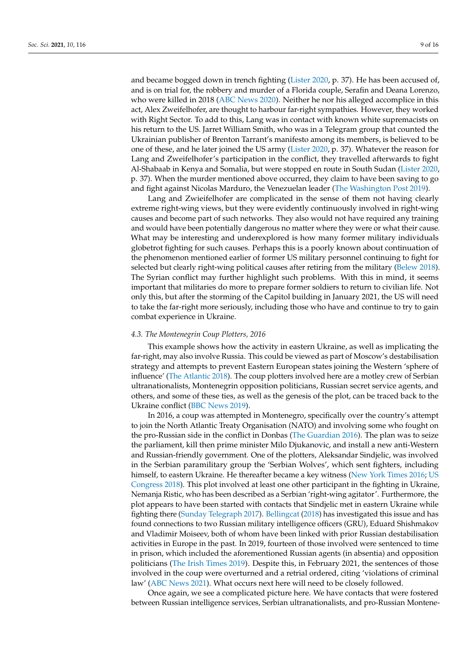and became bogged down in trench fighting [\(Lister](#page-14-17) [2020,](#page-14-17) p. 37). He has been accused of, and is on trial for, the robbery and murder of a Florida couple, Serafin and Deana Lorenzo, who were killed in 2018 [\(ABC News](#page-12-24) [2020\)](#page-12-24). Neither he nor his alleged accomplice in this act, Alex Zweifelhofer, are thought to harbour far-right sympathies. However, they worked with Right Sector. To add to this, Lang was in contact with known white supremacists on his return to the US. Jarret William Smith, who was in a Telegram group that counted the Ukrainian publisher of Brenton Tarrant's manifesto among its members, is believed to be one of these, and he later joined the US army [\(Lister](#page-14-17) [2020,](#page-14-17) p. 37). Whatever the reason for Lang and Zweifelhofer's participation in the conflict, they travelled afterwards to fight Al-Shabaab in Kenya and Somalia, but were stopped en route in South Sudan [\(Lister](#page-14-17) [2020,](#page-14-17) p. 37). When the murder mentioned above occurred, they claim to have been saving to go and fight against Nicolas Marduro, the Venezuelan leader [\(The Washington Post](#page-15-10) [2019\)](#page-15-10).

Lang and Zwieifelhofer are complicated in the sense of them not having clearly extreme right-wing views, but they were evidently continuously involved in right-wing causes and become part of such networks. They also would not have required any training and would have been potentially dangerous no matter where they were or what their cause. What may be interesting and underexplored is how many former military individuals globetrot fighting for such causes. Perhaps this is a poorly known about continuation of the phenomenon mentioned earlier of former US military personnel continuing to fight for selected but clearly right-wing political causes after retiring from the military [\(Belew](#page-12-6) [2018\)](#page-12-6). The Syrian conflict may further highlight such problems. With this in mind, it seems important that militaries do more to prepare former soldiers to return to civilian life. Not only this, but after the storming of the Capitol building in January 2021, the US will need to take the far-right more seriously, including those who have and continue to try to gain combat experience in Ukraine.

#### *4.3. The Montenegrin Coup Plotters, 2016*

This example shows how the activity in eastern Ukraine, as well as implicating the far-right, may also involve Russia. This could be viewed as part of Moscow's destabilisation strategy and attempts to prevent Eastern European states joining the Western 'sphere of influence' [\(The Atlantic](#page-15-7) [2018\)](#page-15-7). The coup plotters involved here are a motley crew of Serbian ultranationalists, Montenegrin opposition politicians, Russian secret service agents, and others, and some of these ties, as well as the genesis of the plot, can be traced back to the Ukraine conflict [\(BBC News](#page-12-25) [2019\)](#page-12-25).

In 2016, a coup was attempted in Montenegro, specifically over the country's attempt to join the North Atlantic Treaty Organisation (NATO) and involving some who fought on the pro-Russian side in the conflict in Donbas [\(The Guardian](#page-15-11) [2016\)](#page-15-11). The plan was to seize the parliament, kill then prime minister Milo Djukanovic, and install a new anti-Western and Russian-friendly government. One of the plotters, Aleksandar Sindjelic, was involved in the Serbian paramilitary group the 'Serbian Wolves', which sent fighters, including himself, to eastern Ukraine. He thereafter became a key witness [\(New York Times](#page-14-22) [2016;](#page-14-22) [US](#page-15-12) [Congress](#page-15-12) [2018\)](#page-15-12). This plot involved at least one other participant in the fighting in Ukraine, Nemanja Ristic, who has been described as a Serbian 'right-wing agitator'. Furthermore, the plot appears to have been started with contacts that Sindjelic met in eastern Ukraine while fighting there [\(Sunday Telegraph](#page-15-13) [2017\)](#page-15-13). [Bellingcat](#page-12-26) [\(2018\)](#page-12-26) has investigated this issue and has found connections to two Russian military intelligence officers (GRU), Eduard Shishmakov and Vladimir Moiseev, both of whom have been linked with prior Russian destabilisation activities in Europe in the past. In 2019, fourteen of those involved were sentenced to time in prison, which included the aforementioned Russian agents (in absentia) and opposition politicians [\(The Irish Times](#page-15-14) [2019\)](#page-15-14). Despite this, in February 2021, the sentences of those involved in the coup were overturned and a retrial ordered, citing 'violations of criminal law' [\(ABC News](#page-12-27) [2021\)](#page-12-27). What occurs next here will need to be closely followed.

Once again, we see a complicated picture here. We have contacts that were fostered between Russian intelligence services, Serbian ultranationalists, and pro-Russian Montene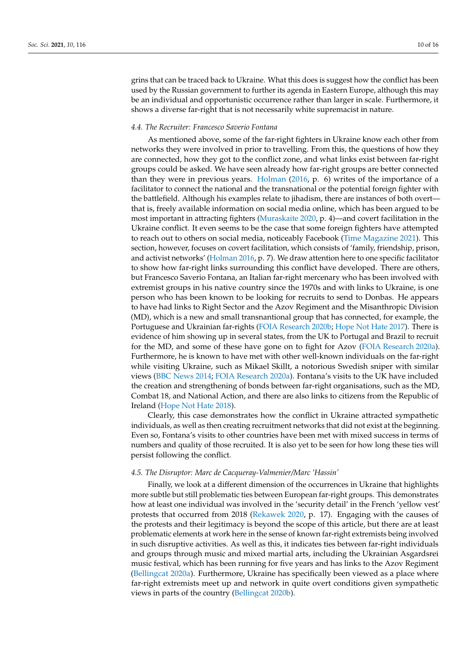grins that can be traced back to Ukraine. What this does is suggest how the conflict has been used by the Russian government to further its agenda in Eastern Europe, although this may be an individual and opportunistic occurrence rather than larger in scale. Furthermore, it shows a diverse far-right that is not necessarily white supremacist in nature.

## *4.4. The Recruiter: Francesco Saverio Fontana*

As mentioned above, some of the far-right fighters in Ukraine know each other from networks they were involved in prior to travelling. From this, the questions of how they are connected, how they got to the conflict zone, and what links exist between far-right groups could be asked. We have seen already how far-right groups are better connected than they were in previous years. [Holman](#page-13-20) [\(2016,](#page-13-20) p. 6) writes of the importance of a facilitator to connect the national and the transnational or the potential foreign fighter with the battlefield. Although his examples relate to jihadism, there are instances of both overt that is, freely available information on social media online, which has been argued to be most important in attracting fighters [\(Muraskaite](#page-14-20) [2020,](#page-14-20) p. 4)—and covert facilitation in the Ukraine conflict. It even seems to be the case that some foreign fighters have attempted to reach out to others on social media, noticeably Facebook [\(Time Magazine](#page-15-15) [2021\)](#page-15-15). This section, however, focuses on covert facilitation, which consists of 'family, friendship, prison, and activist networks' [\(Holman](#page-13-20) [2016,](#page-13-20) p. 7). We draw attention here to one specific facilitator to show how far-right links surrounding this conflict have developed. There are others, but Francesco Saverio Fontana, an Italian far-right mercenary who has been involved with extremist groups in his native country since the 1970s and with links to Ukraine, is one person who has been known to be looking for recruits to send to Donbas. He appears to have had links to Right Sector and the Azov Regiment and the Misanthropic Division (MD), which is a new and small transnantional group that has connected, for example, the Portuguese and Ukrainian far-rights [\(FOIA Research](#page-13-21) [2020b;](#page-13-21) [Hope Not Hate](#page-13-22) [2017\)](#page-13-22). There is evidence of him showing up in several states, from the UK to Portugal and Brazil to recruit for the MD, and some of these have gone on to fight for Azov [\(FOIA Research](#page-13-23) [2020a\)](#page-13-23). Furthermore, he is known to have met with other well-known individuals on the far-right while visiting Ukraine, such as Mikael Skillt, a notorious Swedish sniper with similar views [\(BBC News](#page-12-28) [2014;](#page-12-28) [FOIA Research](#page-13-23) [2020a\)](#page-13-23). Fontana's visits to the UK have included the creation and strengthening of bonds between far-right organisations, such as the MD, Combat 18, and National Action, and there are also links to citizens from the Republic of Ireland [\(Hope Not Hate](#page-13-24) [2018\)](#page-13-24).

Clearly, this case demonstrates how the conflict in Ukraine attracted sympathetic individuals, as well as then creating recruitment networks that did not exist at the beginning. Even so, Fontana's visits to other countries have been met with mixed success in terms of numbers and quality of those recruited. It is also yet to be seen for how long these ties will persist following the conflict.

#### *4.5. The Disruptor: Marc de Cacqueray-Valmenier/Marc 'Hassin'*

Finally, we look at a different dimension of the occurrences in Ukraine that highlights more subtle but still problematic ties between European far-right groups. This demonstrates how at least one individual was involved in the 'security detail' in the French 'yellow vest' protests that occurred from 2018 [\(Rekawek](#page-14-15) [2020,](#page-14-15) p. 17). Engaging with the causes of the protests and their legitimacy is beyond the scope of this article, but there are at least problematic elements at work here in the sense of known far-right extremists being involved in such disruptive activities. As well as this, it indicates ties between far-right individuals and groups through music and mixed martial arts, including the Ukrainian Asgardsrei music festival, which has been running for five years and has links to the Azov Regiment [\(Bellingcat](#page-12-19) [2020a\)](#page-12-19). Furthermore, Ukraine has specifically been viewed as a place where far-right extremists meet up and network in quite overt conditions given sympathetic views in parts of the country [\(Bellingcat](#page-12-21) [2020b\)](#page-12-21).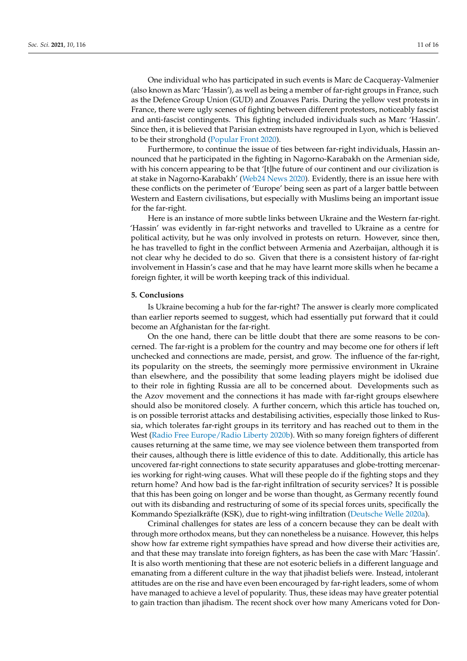One individual who has participated in such events is Marc de Cacqueray-Valmenier (also known as Marc 'Hassin'), as well as being a member of far-right groups in France, such as the Defence Group Union (GUD) and Zouaves Paris. During the yellow vest protests in France, there were ugly scenes of fighting between different protestors, noticeably fascist and anti-fascist contingents. This fighting included individuals such as Marc 'Hassin'. Since then, it is believed that Parisian extremists have regrouped in Lyon, which is believed to be their stronghold [\(Popular Front](#page-14-23) [2020\)](#page-14-23).

Furthermore, to continue the issue of ties between far-right individuals, Hassin announced that he participated in the fighting in Nagorno-Karabakh on the Armenian side, with his concern appearing to be that '[t]he future of our continent and our civilization is at stake in Nagorno-Karabakh' [\(Web24 News](#page-15-16) [2020\)](#page-15-16). Evidently, there is an issue here with these conflicts on the perimeter of 'Europe' being seen as part of a larger battle between Western and Eastern civilisations, but especially with Muslims being an important issue for the far-right.

Here is an instance of more subtle links between Ukraine and the Western far-right. 'Hassin' was evidently in far-right networks and travelled to Ukraine as a centre for political activity, but he was only involved in protests on return. However, since then, he has travelled to fight in the conflict between Armenia and Azerbaijan, although it is not clear why he decided to do so. Given that there is a consistent history of far-right involvement in Hassin's case and that he may have learnt more skills when he became a foreign fighter, it will be worth keeping track of this individual.

## **5. Conclusions**

Is Ukraine becoming a hub for the far-right? The answer is clearly more complicated than earlier reports seemed to suggest, which had essentially put forward that it could become an Afghanistan for the far-right.

On the one hand, there can be little doubt that there are some reasons to be concerned. The far-right is a problem for the country and may become one for others if left unchecked and connections are made, persist, and grow. The influence of the far-right, its popularity on the streets, the seemingly more permissive environment in Ukraine than elsewhere, and the possibility that some leading players might be idolised due to their role in fighting Russia are all to be concerned about. Developments such as the Azov movement and the connections it has made with far-right groups elsewhere should also be monitored closely. A further concern, which this article has touched on, is on possible terrorist attacks and destabilising activities, especially those linked to Russia, which tolerates far-right groups in its territory and has reached out to them in the West [\(Radio Free Europe/Radio Liberty](#page-14-24) [2020b\)](#page-14-24). With so many foreign fighters of different causes returning at the same time, we may see violence between them transported from their causes, although there is little evidence of this to date. Additionally, this article has uncovered far-right connections to state security apparatuses and globe-trotting mercenaries working for right-wing causes. What will these people do if the fighting stops and they return home? And how bad is the far-right infiltration of security services? It is possible that this has been going on longer and be worse than thought, as Germany recently found out with its disbanding and restructuring of some of its special forces units, specifically the Kommando Spezialkräfte (KSK), due to right-wing infiltration [\(Deutsche Welle](#page-13-7) [2020a\)](#page-13-7).

Criminal challenges for states are less of a concern because they can be dealt with through more orthodox means, but they can nonetheless be a nuisance. However, this helps show how far extreme right sympathies have spread and how diverse their activities are, and that these may translate into foreign fighters, as has been the case with Marc 'Hassin'. It is also worth mentioning that these are not esoteric beliefs in a different language and emanating from a different culture in the way that jihadist beliefs were. Instead, intolerant attitudes are on the rise and have even been encouraged by far-right leaders, some of whom have managed to achieve a level of popularity. Thus, these ideas may have greater potential to gain traction than jihadism. The recent shock over how many Americans voted for Don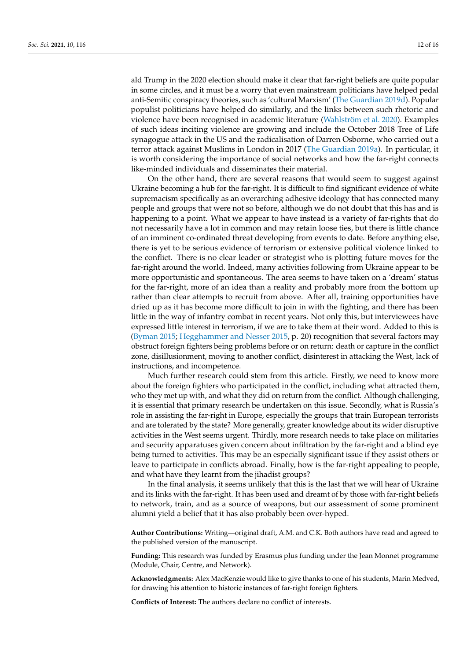ald Trump in the 2020 election should make it clear that far-right beliefs are quite popular in some circles, and it must be a worry that even mainstream politicians have helped pedal anti-Semitic conspiracy theories, such as 'cultural Marxism' [\(The Guardian](#page-15-17) [2019d\)](#page-15-17). Popular populist politicians have helped do similarly, and the links between such rhetoric and violence have been recognised in academic literature [\(Wahlström et al.](#page-15-18) [2020\)](#page-15-18). Examples of such ideas inciting violence are growing and include the October 2018 Tree of Life synagogue attack in the US and the radicalisation of Darren Osborne, who carried out a terror attack against Muslims in London in 2017 [\(The Guardian](#page-15-19) [2019a\)](#page-15-19). In particular, it is worth considering the importance of social networks and how the far-right connects like-minded individuals and disseminates their material.

On the other hand, there are several reasons that would seem to suggest against Ukraine becoming a hub for the far-right. It is difficult to find significant evidence of white supremacism specifically as an overarching adhesive ideology that has connected many people and groups that were not so before, although we do not doubt that this has and is happening to a point. What we appear to have instead is a variety of far-rights that do not necessarily have a lot in common and may retain loose ties, but there is little chance of an imminent co-ordinated threat developing from events to date. Before anything else, there is yet to be serious evidence of terrorism or extensive political violence linked to the conflict. There is no clear leader or strategist who is plotting future moves for the far-right around the world. Indeed, many activities following from Ukraine appear to be more opportunistic and spontaneous. The area seems to have taken on a 'dream' status for the far-right, more of an idea than a reality and probably more from the bottom up rather than clear attempts to recruit from above. After all, training opportunities have dried up as it has become more difficult to join in with the fighting, and there has been little in the way of infantry combat in recent years. Not only this, but interviewees have expressed little interest in terrorism, if we are to take them at their word. Added to this is [\(Byman](#page-12-4) [2015;](#page-12-4) [Hegghammer and Nesser](#page-13-25) [2015,](#page-13-25) p. 20) recognition that several factors may obstruct foreign fighters being problems before or on return: death or capture in the conflict zone, disillusionment, moving to another conflict, disinterest in attacking the West, lack of instructions, and incompetence.

Much further research could stem from this article. Firstly, we need to know more about the foreign fighters who participated in the conflict, including what attracted them, who they met up with, and what they did on return from the conflict. Although challenging, it is essential that primary research be undertaken on this issue. Secondly, what is Russia's role in assisting the far-right in Europe, especially the groups that train European terrorists and are tolerated by the state? More generally, greater knowledge about its wider disruptive activities in the West seems urgent. Thirdly, more research needs to take place on militaries and security apparatuses given concern about infiltration by the far-right and a blind eye being turned to activities. This may be an especially significant issue if they assist others or leave to participate in conflicts abroad. Finally, how is the far-right appealing to people, and what have they learnt from the jihadist groups?

In the final analysis, it seems unlikely that this is the last that we will hear of Ukraine and its links with the far-right. It has been used and dreamt of by those with far-right beliefs to network, train, and as a source of weapons, but our assessment of some prominent alumni yield a belief that it has also probably been over-hyped.

**Author Contributions:** Writing—original draft, A.M. and C.K. Both authors have read and agreed to the published version of the manuscript.

**Funding:** This research was funded by Erasmus plus funding under the Jean Monnet programme (Module, Chair, Centre, and Network).

**Acknowledgments:** Alex MacKenzie would like to give thanks to one of his students, Marin Medved, for drawing his attention to historic instances of far-right foreign fighters.

**Conflicts of Interest:** The authors declare no conflict of interests.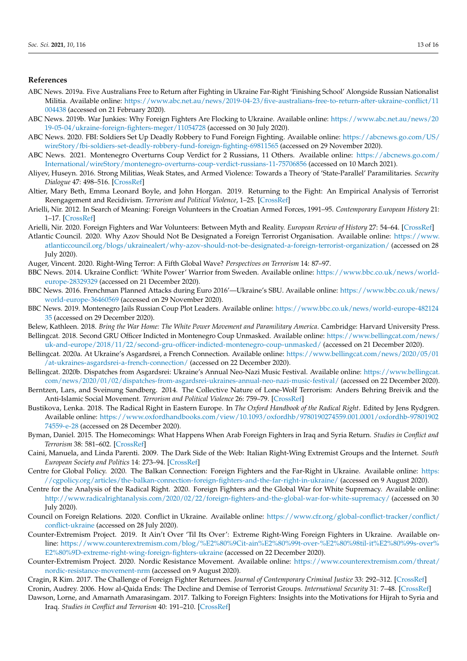## **References**

- <span id="page-12-22"></span>ABC News. 2019a. Five Australians Free to Return after Fighting in Ukraine Far-Right 'Finishing School' Alongside Russian Nationalist Militia. Available online: [https://www.abc.net.au/news/2019-04-23/five-australians-free-to-return-after-ukraine-conflict/11](https://www.abc.net.au/news/2019-04-23/five-australians-free-to-return-after-ukraine-conflict/11004438) [004438](https://www.abc.net.au/news/2019-04-23/five-australians-free-to-return-after-ukraine-conflict/11004438) (accessed on 21 February 2020).
- <span id="page-12-15"></span>ABC News. 2019b. War Junkies: Why Foreign Fighters Are Flocking to Ukraine. Available online: [https://www.abc.net.au/news/20](https://www.abc.net.au/news/2019-05-04/ukraine-foreign-fighters-meger/11054728) [19-05-04/ukraine-foreign-fighters-meger/11054728](https://www.abc.net.au/news/2019-05-04/ukraine-foreign-fighters-meger/11054728) (accessed on 30 July 2020).
- <span id="page-12-24"></span>ABC News. 2020. FBI: Soldiers Set Up Deadly Robbery to Fund Foreign Fighting. Available online: [https://abcnews.go.com/US/](https://abcnews.go.com/US/wireStory/fbi-soldiers-set-deadly-robbery-fund-foreign-fighting-69811565) [wireStory/fbi-soldiers-set-deadly-robbery-fund-foreign-fighting-69811565](https://abcnews.go.com/US/wireStory/fbi-soldiers-set-deadly-robbery-fund-foreign-fighting-69811565) (accessed on 29 November 2020).
- <span id="page-12-27"></span>ABC News. 2021. Montenegro Overturns Coup Verdict for 2 Russians, 11 Others. Available online: [https://abcnews.go.com/](https://abcnews.go.com/International/wireStory/montenegro-overturns-coup-verdict-russians-11-75706856) [International/wireStory/montenegro-overturns-coup-verdict-russians-11-75706856](https://abcnews.go.com/International/wireStory/montenegro-overturns-coup-verdict-russians-11-75706856) (accessed on 10 March 2021).
- <span id="page-12-12"></span>Aliyev, Huseyn. 2016. Strong Militias, Weak States, and Armed Violence: Towards a Theory of 'State-Parallel' Paramilitaries. *Security Dialogue* 47: 498–516. [\[CrossRef\]](http://doi.org/10.1177/0967010616669900)
- <span id="page-12-3"></span>Altier, Mary Beth, Emma Leonard Boyle, and John Horgan. 2019. Returning to the Fight: An Empirical Analysis of Terrorist Reengagement and Recidivism. *Terrorism and Political Violence*, 1–25. [\[CrossRef\]](http://doi.org/10.1080/09546553.2019.1679781)
- <span id="page-12-1"></span>Arielli, Nir. 2012. In Search of Meaning: Foreign Volunteers in the Croatian Armed Forces, 1991–95. *Contemporary European History* 21: 1–17. [\[CrossRef\]](http://doi.org/10.1017/S0960777311000518)
- <span id="page-12-2"></span>Arielli, Nir. 2020. Foreign Fighters and War Volunteers: Between Myth and Reality. *European Review of History* 27: 54–64. [\[CrossRef\]](http://doi.org/10.1080/13507486.2020.1713728)
- <span id="page-12-16"></span>Atlantic Council. 2020. Why Azov Should Not Be Designated a Foreign Terrorist Organisation. Available online: [https://www.](https://www.atlanticcouncil.org/blogs/ukrainealert/why-azov-should-not-be-designated-a-foreign-terrorist-organization/) [atlanticcouncil.org/blogs/ukrainealert/why-azov-should-not-be-designated-a-foreign-terrorist-organization/](https://www.atlanticcouncil.org/blogs/ukrainealert/why-azov-should-not-be-designated-a-foreign-terrorist-organization/) (accessed on 28 July 2020).
- <span id="page-12-0"></span>Auger, Vincent. 2020. Right-Wing Terror: A Fifth Global Wave? *Perspectives on Terrorism* 14: 87–97.
- <span id="page-12-28"></span>BBC News. 2014. Ukraine Conflict: 'White Power' Warrior from Sweden. Available online: [https://www.bbc.co.uk/news/world](https://www.bbc.co.uk/news/world-europe-28329329)[europe-28329329](https://www.bbc.co.uk/news/world-europe-28329329) (accessed on 21 December 2020).
- <span id="page-12-23"></span>BBC News. 2016. Frenchman Planned Attacks during Euro 2016'—Ukraine's SBU. Available online: [https://www.bbc.co.uk/news/](https://www.bbc.co.uk/news/world-europe-36460569) [world-europe-36460569](https://www.bbc.co.uk/news/world-europe-36460569) (accessed on 29 November 2020).
- <span id="page-12-25"></span>BBC News. 2019. Montenegro Jails Russian Coup Plot Leaders. Available online: [https://www.bbc.co.uk/news/world-europe-482124](https://www.bbc.co.uk/news/world-europe-48212435) [35](https://www.bbc.co.uk/news/world-europe-48212435) (accessed on 29 December 2020).
- <span id="page-12-26"></span><span id="page-12-6"></span>Belew, Kathleen. 2018. *Bring the War Home: The White Power Movement and Paramilitary America*. Cambridge: Harvard University Press. Bellingcat. 2018. Second GRU Officer Indicted in Montenegro Coup Unmasked. Available online: [https://www.bellingcat.com/news/](https://www.bellingcat.com/news/uk-and-europe/2018/11/22/second-gru-officer-indicted-montenegro-coup-unmasked/)
- [uk-and-europe/2018/11/22/second-gru-officer-indicted-montenegro-coup-unmasked/](https://www.bellingcat.com/news/uk-and-europe/2018/11/22/second-gru-officer-indicted-montenegro-coup-unmasked/) (accessed on 21 December 2020).
- <span id="page-12-19"></span>Bellingcat. 2020a. At Ukraine's Asgardsrei, a French Connection. Available online: [https://www.bellingcat.com/news/2020/05/01](https://www.bellingcat.com/news/2020/05/01/at-ukraines-asgardsrei-a-french-connection/) [/at-ukraines-asgardsrei-a-french-connection/](https://www.bellingcat.com/news/2020/05/01/at-ukraines-asgardsrei-a-french-connection/) (accessed on 22 December 2020).
- <span id="page-12-21"></span>Bellingcat. 2020b. Dispatches from Asgardsrei: Ukraine's Annual Neo-Nazi Music Festival. Available online: [https://www.bellingcat.](https://www.bellingcat.com/news/2020/01/02/dispatches-from-asgardsrei-ukraines-annual-neo-nazi-music-festival/) [com/news/2020/01/02/dispatches-from-asgardsrei-ukraines-annual-neo-nazi-music-festival/](https://www.bellingcat.com/news/2020/01/02/dispatches-from-asgardsrei-ukraines-annual-neo-nazi-music-festival/) (accessed on 22 December 2020).
- <span id="page-12-10"></span>Berntzen, Lars, and Sveinung Sandberg. 2014. The Collective Nature of Lone-Wolf Terrorism: Anders Behring Breivik and the Anti-Islamic Social Movement. *Terrorism and Political Violence* 26: 759–79. [\[CrossRef\]](http://doi.org/10.1080/09546553.2013.767245)
- <span id="page-12-11"></span>Bustikova, Lenka. 2018. The Radical Right in Eastern Europe. In *The Oxford Handbook of the Radical Right*. Edited by Jens Rydgren. Available online: [https://www.oxfordhandbooks.com/view/10.1093/oxfordhb/9780190274559.001.0001/oxfordhb-97801902](https://www.oxfordhandbooks.com/view/10.1093/oxfordhb/9780190274559.001.0001/oxfordhb-9780190274559-e-28) [74559-e-28](https://www.oxfordhandbooks.com/view/10.1093/oxfordhb/9780190274559.001.0001/oxfordhb-9780190274559-e-28) (accessed on 28 December 2020).
- <span id="page-12-4"></span>Byman, Daniel. 2015. The Homecomings: What Happens When Arab Foreign Fighters in Iraq and Syria Return. *Studies in Conflict and Terrorism* 38: 581–602. [\[CrossRef\]](http://doi.org/10.1080/1057610X.2015.1031556)
- <span id="page-12-7"></span>Caini, Manuela, and Linda Parenti. 2009. The Dark Side of the Web: Italian Right-Wing Extremist Groups and the Internet. *South European Society and Politics* 14: 273–94. [\[CrossRef\]](http://doi.org/10.1080/13608740903342491)
- <span id="page-12-20"></span>Centre for Global Policy. 2020. The Balkan Connection: Foreign Fighters and the Far-Right in Ukraine. Available online: [https:](https://cgpolicy.org/articles/the-balkan-connection-foreign-fighters-and-the-far-right-in-ukraine/) [//cgpolicy.org/articles/the-balkan-connection-foreign-fighters-and-the-far-right-in-ukraine/](https://cgpolicy.org/articles/the-balkan-connection-foreign-fighters-and-the-far-right-in-ukraine/) (accessed on 9 August 2020).
- <span id="page-12-9"></span>Centre for the Analysis of the Radical Right. 2020. Foreign Fighters and the Global War for White Supremacy. Available online: <http://www.radicalrightanalysis.com/2020/02/22/foreign-fighters-and-the-global-war-for-white-supremacy/> (accessed on 30 July 2020).
- <span id="page-12-13"></span>Council on Foreign Relations. 2020. Conflict in Ukraine. Available online: [https://www.cfr.org/global-conflict-tracker/conflict/](https://www.cfr.org/global-conflict-tracker/conflict/conflict-ukraine) [conflict-ukraine](https://www.cfr.org/global-conflict-tracker/conflict/conflict-ukraine) (accessed on 28 July 2020).
- <span id="page-12-17"></span>Counter-Extremism Project. 2019. It Ain't Over 'Til Its Over': Extreme Right-Wing Foreign Fighters in Ukraine. Available online: [https://www.counterextremism.com/blog/%E2%80%9Cit-ain%E2%80%99t-over-%E2%80%98til-it%E2%80%99s-over%](https://www.counterextremism.com/blog/%E2%80%9Cit-ain%E2%80%99t-over-%E2%80%98til-it%E2%80%99s-over%E2%80%9D-extreme-right-wing-foreign-fighters-ukraine) [E2%80%9D-extreme-right-wing-foreign-fighters-ukraine](https://www.counterextremism.com/blog/%E2%80%9Cit-ain%E2%80%99t-over-%E2%80%98til-it%E2%80%99s-over%E2%80%9D-extreme-right-wing-foreign-fighters-ukraine) (accessed on 22 December 2020).
- <span id="page-12-18"></span>Counter-Extremism Project. 2020. Nordic Resistance Movement. Available online: [https://www.counterextremism.com/threat/](https://www.counterextremism.com/threat/nordic-resistance-movement-nrm) [nordic-resistance-movement-nrm](https://www.counterextremism.com/threat/nordic-resistance-movement-nrm) (accessed on 9 August 2020).
- <span id="page-12-8"></span><span id="page-12-5"></span>Cragin, R Kim. 2017. The Challenge of Foreign Fighter Returnees. *Journal of Contemporary Criminal Justice* 33: 292–312. [\[CrossRef\]](http://doi.org/10.1177/1043986217697872) Cronin, Audrey. 2006. How al-Qaida Ends: The Decline and Demise of Terrorist Groups. *International Security* 31: 7–48. [\[CrossRef\]](http://doi.org/10.1162/isec.2006.31.1.7)
- <span id="page-12-14"></span>Dawson, Lorne, and Amarnath Amarasingam. 2017. Talking to Foreign Fighters: Insights into the Motivations for Hijrah to Syria and Iraq. *Studies in Conflict and Terrorism* 40: 191–210. [\[CrossRef\]](http://doi.org/10.1080/1057610X.2016.1274216)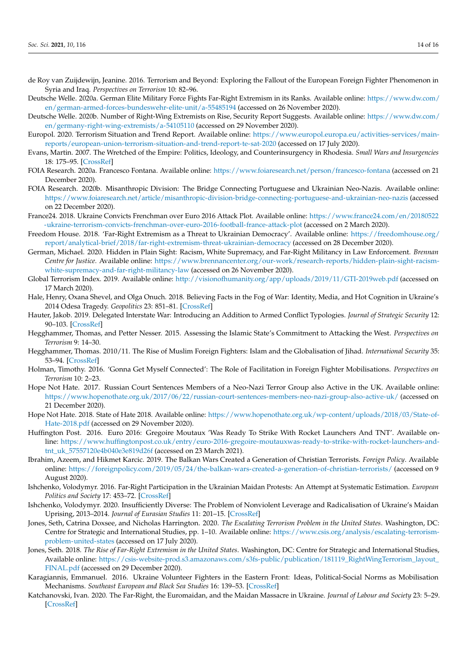- <span id="page-13-2"></span>de Roy van Zuijdewijn, Jeanine. 2016. Terrorism and Beyond: Exploring the Fallout of the European Foreign Fighter Phenomenon in Syria and Iraq. *Perspectives on Terrorism* 10: 82–96.
- <span id="page-13-7"></span>Deutsche Welle. 2020a. German Elite Military Force Fights Far-Right Extremism in its Ranks. Available online: [https://www.dw.com/](https://www.dw.com/en/german-armed-forces-bundeswehr-elite-unit/a-55485194) [en/german-armed-forces-bundeswehr-elite-unit/a-55485194](https://www.dw.com/en/german-armed-forces-bundeswehr-elite-unit/a-55485194) (accessed on 26 November 2020).
- <span id="page-13-16"></span>Deutsche Welle. 2020b. Number of Right-Wing Extremists on Rise, Security Report Suggests. Available online: [https://www.dw.com/](https://www.dw.com/en/germany-right-wing-extremists/a-54105110) [en/germany-right-wing-extremists/a-54105110](https://www.dw.com/en/germany-right-wing-extremists/a-54105110) (accessed on 29 November 2020).
- <span id="page-13-5"></span>Europol. 2020. Terrorism Situation and Trend Report. Available online: [https://www.europol.europa.eu/activities-services/main](https://www.europol.europa.eu/activities-services/main-reports/european-union-terrorism-situation-and-trend-report-te-sat-2020)[reports/european-union-terrorism-situation-and-trend-report-te-sat-2020](https://www.europol.europa.eu/activities-services/main-reports/european-union-terrorism-situation-and-trend-report-te-sat-2020) (accessed on 17 July 2020).
- <span id="page-13-6"></span>Evans, Martin. 2007. The Wretched of the Empire: Politics, Ideology, and Counterinsurgency in Rhodesia. *Small Wars and Insurgencies* 18: 175–95. [\[CrossRef\]](http://doi.org/10.1080/09574040701400601)
- <span id="page-13-23"></span>FOIA Research. 2020a. Francesco Fontana. Available online: <https://www.foiaresearch.net/person/francesco-fontana> (accessed on 21 December 2020).
- <span id="page-13-21"></span>FOIA Research. 2020b. Misanthropic Division: The Bridge Connecting Portuguese and Ukrainian Neo-Nazis. Available online: <https://www.foiaresearch.net/article/misanthropic-division-bridge-connecting-portuguese-and-ukrainian-neo-nazis> (accessed on 22 December 2020).
- <span id="page-13-18"></span>France24. 2018. Ukraine Convicts Frenchman over Euro 2016 Attack Plot. Available online: [https://www.france24.com/en/20180522](https://www.france24.com/en/20180522-ukraine-terrorism-convicts-frenchman-over-euro-2016-football-france-attack-plot) [-ukraine-terrorism-convicts-frenchman-over-euro-2016-football-france-attack-plot](https://www.france24.com/en/20180522-ukraine-terrorism-convicts-frenchman-over-euro-2016-football-france-attack-plot) (accessed on 2 March 2020).
- <span id="page-13-9"></span>Freedom House. 2018. 'Far-Right Extremism as a Threat to Ukrainian Democracy'. Available online: [https://freedomhouse.org/](https://freedomhouse.org/report/analytical-brief/2018/far-right-extremism-threat-ukrainian-democracy) [report/analytical-brief/2018/far-right-extremism-threat-ukrainian-democracy](https://freedomhouse.org/report/analytical-brief/2018/far-right-extremism-threat-ukrainian-democracy) (accessed on 28 December 2020).
- <span id="page-13-8"></span>German, Michael. 2020. Hidden in Plain Sight: Racism, White Supremacy, and Far-Right Militancy in Law Enforcement. *Brennan Centre for Justice.* Available online: [https://www.brennancenter.org/our-work/research-reports/hidden-plain-sight-racism](https://www.brennancenter.org/our-work/research-reports/hidden-plain-sight-racism-white-supremacy-and-far-right-militancy-law)[white-supremacy-and-far-right-militancy-law](https://www.brennancenter.org/our-work/research-reports/hidden-plain-sight-racism-white-supremacy-and-far-right-militancy-law) (accessed on 26 November 2020).
- <span id="page-13-0"></span>Global Terrorism Index. 2019. Available online: <http://visionofhumanity.org/app/uploads/2019/11/GTI-2019web.pdf> (accessed on 17 March 2020).
- <span id="page-13-13"></span>Hale, Henry, Oxana Shevel, and Olga Onuch. 2018. Believing Facts in the Fog of War: Identity, Media, and Hot Cognition in Ukraine's 2014 Odesa Tragedy. *Geopolitics* 23: 851–81. [\[CrossRef\]](http://doi.org/10.1080/14650045.2018.1465044)
- <span id="page-13-14"></span>Hauter, Jakob. 2019. Delegated Interstate War: Introducing an Addition to Armed Conflict Typologies. *Journal of Strategic Security* 12: 90–103. [\[CrossRef\]](http://doi.org/10.5038/1944-0472.12.4.1756)
- <span id="page-13-25"></span>Hegghammer, Thomas, and Petter Nesser. 2015. Assessing the Islamic State's Commitment to Attacking the West. *Perspectives on Terrorism* 9: 14–30.
- <span id="page-13-1"></span>Hegghammer, Thomas. 2010/11. The Rise of Muslim Foreign Fighters: Islam and the Globalisation of Jihad. *International Security* 35: 53–94. [\[CrossRef\]](http://doi.org/10.1162/ISEC_a_00023)
- <span id="page-13-20"></span>Holman, Timothy. 2016. 'Gonna Get Myself Connected': The Role of Facilitation in Foreign Fighter Mobilisations. *Perspectives on Terrorism* 10: 2–23.
- <span id="page-13-22"></span>Hope Not Hate. 2017. Russian Court Sentences Members of a Neo-Nazi Terror Group also Active in the UK. Available online: <https://www.hopenothate.org.uk/2017/06/22/russian-court-sentences-members-neo-nazi-group-also-active-uk/> (accessed on 21 December 2020).
- <span id="page-13-24"></span>Hope Not Hate. 2018. State of Hate 2018. Available online: [https://www.hopenothate.org.uk/wp-content/uploads/2018/03/State-of-](https://www.hopenothate.org.uk/wp-content/uploads/2018/03/State-of-Hate-2018.pdf)[Hate-2018.pdf](https://www.hopenothate.org.uk/wp-content/uploads/2018/03/State-of-Hate-2018.pdf) (accessed on 29 November 2020).
- <span id="page-13-19"></span>Huffington Post. 2016. Euro 2016: Gregoire Moutaux 'Was Ready To Strike With Rocket Launchers And TNT'. Available online: [https://www.huffingtonpost.co.uk/entry/euro-2016-gregoire-moutauxwas-ready-to-strike-with-rocket-launchers-and](https://www.huffingtonpost.co.uk/entry/euro-2016-gregoire-moutauxwas-ready-to-strike-with-rocket-launchers-and-tnt_uk_57557120e4b040e3e819d26f)[tnt\\_uk\\_57557120e4b040e3e819d26f](https://www.huffingtonpost.co.uk/entry/euro-2016-gregoire-moutauxwas-ready-to-strike-with-rocket-launchers-and-tnt_uk_57557120e4b040e3e819d26f) (accessed on 23 March 2021).
- <span id="page-13-3"></span>Ibrahim, Azeem, and Hikmet Karcic. 2019. The Balkan Wars Created a Generation of Christian Terrorists. *Foreign Policy*. Available online: <https://foreignpolicy.com/2019/05/24/the-balkan-wars-created-a-generation-of-christian-terrorists/> (accessed on 9 August 2020).
- <span id="page-13-11"></span>Ishchenko, Volodymyr. 2016. Far-Right Participation in the Ukrainian Maidan Protests: An Attempt at Systematic Estimation. *European Politics and Society* 17: 453–72. [\[CrossRef\]](http://doi.org/10.1080/23745118.2016.1154646)
- <span id="page-13-12"></span>Ishchenko, Volodymyr. 2020. Insufficiently Diverse: The Problem of Nonviolent Leverage and Radicalisation of Ukraine's Maidan Uprising, 2013–2014. *Journal of Eurasian Studies* 11: 201–15. [\[CrossRef\]](http://doi.org/10.1177/1879366520928363)
- <span id="page-13-4"></span>Jones, Seth, Catrina Doxsee, and Nicholas Harrington. 2020. *The Escalating Terrorism Problem in the United States*. Washington, DC: Centre for Strategic and International Studies, pp. 1–10. Available online: [https://www.csis.org/analysis/escalating-terrorism](https://www.csis.org/analysis/escalating-terrorism-problem-united-states)[problem-united-states](https://www.csis.org/analysis/escalating-terrorism-problem-united-states) (accessed on 17 July 2020).
- <span id="page-13-17"></span>Jones, Seth. 2018. *The Rise of Far-Right Extremism in the United States*. Washington, DC: Centre for Strategic and International Studies, Available online: [https://csis-website-prod.s3.amazonaws.com/s3fs-public/publication/181119\\_RightWingTerrorism\\_layout\\_](https://csis-website-prod.s3.amazonaws.com/s3fs-public/publication/181119_RightWingTerrorism_layout_FINAL.pdf) [FINAL.pdf](https://csis-website-prod.s3.amazonaws.com/s3fs-public/publication/181119_RightWingTerrorism_layout_FINAL.pdf) (accessed on 29 December 2020).
- <span id="page-13-15"></span>Karagiannis, Emmanuel. 2016. Ukraine Volunteer Fighters in the Eastern Front: Ideas, Political-Social Norms as Mobilisation Mechanisms. *Southeast European and Black Sea Studies* 16: 139–53. [\[CrossRef\]](http://doi.org/10.1080/14683857.2016.1148413)
- <span id="page-13-10"></span>Katchanovski, Ivan. 2020. The Far-Right, the Euromaidan, and the Maidan Massacre in Ukraine. *Journal of Labour and Society* 23: 5–29. [\[CrossRef\]](http://doi.org/10.1111/wusa.12457)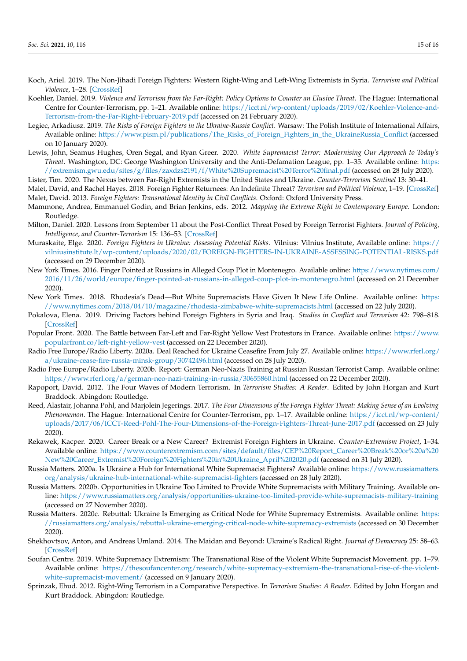- <span id="page-14-4"></span>Koch, Ariel. 2019. The Non-Jihadi Foreign Fighters: Western Right-Wing and Left-Wing Extremists in Syria. *Terrorism and Political Violence*, 1–28. [\[CrossRef\]](http://doi.org/10.1080/09546553.2019.1581614)
- <span id="page-14-0"></span>Koehler, Daniel. 2019. *Violence and Terrorism from the Far-Right: Policy Options to Counter an Elusive Threat*. The Hague: International Centre for Counter-Terrorism, pp. 1–21. Available online: [https://icct.nl/wp-content/uploads/2019/02/Koehler-Violence-and-](https://icct.nl/wp-content/uploads/2019/02/Koehler-Violence-and-Terrorism-from-the-Far-Right-February-2019.pdf)[Terrorism-from-the-Far-Right-February-2019.pdf](https://icct.nl/wp-content/uploads/2019/02/Koehler-Violence-and-Terrorism-from-the-Far-Right-February-2019.pdf) (accessed on 24 February 2020).
- <span id="page-14-5"></span>Legiec, Arkadiusz. 2019. *The Risks of Foreign Fighters in the Ukraine-Russia Conflict*. Warsaw: The Polish Institute of International Affairs, Available online: [https://www.pism.pl/publications/The\\_Risks\\_of\\_Foreign\\_Fighters\\_in\\_the\\_UkraineRussia\\_Conflict](https://www.pism.pl/publications/The_Risks_of_Foreign_Fighters_in_the_UkraineRussia_Conflict) (accessed on 10 January 2020).
- <span id="page-14-21"></span>Lewis, John, Seamus Hughes, Oren Segal, and Ryan Greer. 2020. *White Supremacist Terror: Modernising Our Approach to Today's Threat*. Washington, DC: George Washington University and the Anti-Defamation League, pp. 1–35. Available online: [https:](https://extremism.gwu.edu/sites/g/files/zaxdzs2191/f/White%20Supremacist%20Terror%20final.pdf) [//extremism.gwu.edu/sites/g/files/zaxdzs2191/f/White%20Supremacist%20Terror%20final.pdf](https://extremism.gwu.edu/sites/g/files/zaxdzs2191/f/White%20Supremacist%20Terror%20final.pdf) (accessed on 28 July 2020).
- <span id="page-14-17"></span>Lister, Tim. 2020. The Nexus between Far-Right Extremists in the United States and Ukraine. *Counter-Terrorism Sentinel* 13: 30–41.
- <span id="page-14-7"></span><span id="page-14-6"></span>Malet, David, and Rachel Hayes. 2018. Foreign Fighter Returnees: An Indefinite Threat? *Terrorism and Political Violence*, 1–19. [\[CrossRef\]](http://doi.org/10.1080/09546553.2018.1497987) Malet, David. 2013. *Foreign Fighters: Transnational Identity in Civil Conflicts*. Oxford: Oxford University Press.
- <span id="page-14-10"></span>Mammone, Andrea, Emmanuel Godin, and Brian Jenkins, eds. 2012. *Mapping the Extreme Right in Contemporary Europe*. London: Routledge.
- <span id="page-14-8"></span>Milton, Daniel. 2020. Lessons from September 11 about the Post-Conflict Threat Posed by Foreign Terrorist Fighters. *Journal of Policing, Intelligence, and Counter-Terrorism* 15: 136–53. [\[CrossRef\]](http://doi.org/10.1080/18335330.2020.1725097)
- <span id="page-14-20"></span>Muraskaite, Elge. 2020. *Foreign Fighters in Ukraine: Assessing Potential Risks*. Vilnius: Vilnius Institute, Available online: [https://](https://vilniusinstitute.lt/wp-content/uploads/2020/02/FOREIGN-FIGHTERS-IN-UKRAINE-ASSESSING-POTENTIAL-RISKS.pdf) [vilniusinstitute.lt/wp-content/uploads/2020/02/FOREIGN-FIGHTERS-IN-UKRAINE-ASSESSING-POTENTIAL-RISKS.pdf](https://vilniusinstitute.lt/wp-content/uploads/2020/02/FOREIGN-FIGHTERS-IN-UKRAINE-ASSESSING-POTENTIAL-RISKS.pdf) (accessed on 29 December 2020).
- <span id="page-14-22"></span>New York Times. 2016. Finger Pointed at Russians in Alleged Coup Plot in Montenegro. Available online: [https://www.nytimes.com/](https://www.nytimes.com/2016/11/26/world/europe/finger-pointed-at-russians-in-alleged-coup-plot-in-montenegro.html) [2016/11/26/world/europe/finger-pointed-at-russians-in-alleged-coup-plot-in-montenegro.html](https://www.nytimes.com/2016/11/26/world/europe/finger-pointed-at-russians-in-alleged-coup-plot-in-montenegro.html) (accessed on 21 December 2020).
- <span id="page-14-12"></span>New York Times. 2018. Rhodesia's Dead—But White Supremacists Have Given It New Life Online. Available online: [https:](https://www.nytimes.com/2018/04/10/magazine/rhodesia-zimbabwe-white-supremacists.html) [//www.nytimes.com/2018/04/10/magazine/rhodesia-zimbabwe-white-supremacists.html](https://www.nytimes.com/2018/04/10/magazine/rhodesia-zimbabwe-white-supremacists.html) (accessed on 22 July 2020).
- <span id="page-14-16"></span>Pokalova, Elena. 2019. Driving Factors behind Foreign Fighters in Syria and Iraq. *Studies in Conflict and Terrorism* 42: 798–818. [\[CrossRef\]](http://doi.org/10.1080/1057610X.2018.1427842)
- <span id="page-14-23"></span>Popular Front. 2020. The Battle between Far-Left and Far-Right Yellow Vest Protestors in France. Available online: [https://www.](https://www.popularfront.co/left-right-yellow-vest) [popularfront.co/left-right-yellow-vest](https://www.popularfront.co/left-right-yellow-vest) (accessed on 22 December 2020).
- <span id="page-14-14"></span>Radio Free Europe/Radio Liberty. 2020a. Deal Reached for Ukraine Ceasefire From July 27. Available online: [https://www.rferl.org/](https://www.rferl.org/a/ukraine-cease-fire-russia-minsk-group/30742496.html) [a/ukraine-cease-fire-russia-minsk-group/30742496.html](https://www.rferl.org/a/ukraine-cease-fire-russia-minsk-group/30742496.html) (accessed on 28 July 2020).
- <span id="page-14-24"></span>Radio Free Europe/Radio Liberty. 2020b. Report: German Neo-Nazis Training at Russian Russian Terrorist Camp. Available online: <https://www.rferl.org/a/german-neo-nazi-training-in-russia/30655860.html> (accessed on 22 December 2020).
- <span id="page-14-1"></span>Rapoport, David. 2012. The Four Waves of Modern Terrorism. In *Terrorism Studies: A Reader*. Edited by John Horgan and Kurt Braddock. Abingdon: Routledge.
- <span id="page-14-9"></span>Reed, Alastair, Johanna Pohl, and Marjolein Jegerings. 2017. *The Four Dimensions of the Foreign Fighter Threat: Making Sense of an Evolving Phenomemon*. The Hague: International Centre for Counter-Terrorism, pp. 1–17. Available online: [https://icct.nl/wp-content/](https://icct.nl/wp-content/uploads/2017/06/ICCT-Reed-Pohl-The-Four-Dimensions-of-the-Foreign-Fighters-Threat-June-2017.pdf) [uploads/2017/06/ICCT-Reed-Pohl-The-Four-Dimensions-of-the-Foreign-Fighters-Threat-June-2017.pdf](https://icct.nl/wp-content/uploads/2017/06/ICCT-Reed-Pohl-The-Four-Dimensions-of-the-Foreign-Fighters-Threat-June-2017.pdf) (accessed on 23 July 2020).
- <span id="page-14-15"></span>Rekawek, Kacper. 2020. Career Break or a New Career? Extremist Foreign Fighters in Ukraine. *Counter-Extremism Project*, 1–34. Available online: [https://www.counterextremism.com/sites/default/files/CEP%20Report\\_Career%20Break%20or%20a%20](https://www.counterextremism.com/sites/default/files/CEP%20Report_Career%20Break%20or%20a%20New%20Career_Extremist%20Foreign%20Fighters%20in%20Ukraine_April%202020.pdf) [New%20Career\\_Extremist%20Foreign%20Fighters%20in%20Ukraine\\_April%202020.pdf](https://www.counterextremism.com/sites/default/files/CEP%20Report_Career%20Break%20or%20a%20New%20Career_Extremist%20Foreign%20Fighters%20in%20Ukraine_April%202020.pdf) (accessed on 31 July 2020).
- <span id="page-14-18"></span>Russia Matters. 2020a. Is Ukraine a Hub for International White Supremacist Fighters? Available online: [https://www.russiamatters.](https://www.russiamatters.org/analysis/ukraine-hub-international-white-supremacist-fighters) [org/analysis/ukraine-hub-international-white-supremacist-fighters](https://www.russiamatters.org/analysis/ukraine-hub-international-white-supremacist-fighters) (accessed on 28 July 2020).
- <span id="page-14-19"></span>Russia Matters. 2020b. Opportunities in Ukraine Too Limited to Provide White Supremacists with Military Training. Available online: <https://www.russiamatters.org/analysis/opportunities-ukraine-too-limited-provide-white-supremacists-military-training> (accessed on 27 November 2020).
- <span id="page-14-2"></span>Russia Matters. 2020c. Rebuttal: Ukraine Is Emerging as Critical Node for White Supremacy Extremists. Available online: [https:](https://russiamatters.org/analysis/rebuttal-ukraine-emerging-critical-node-white-supremacy-extremists) [//russiamatters.org/analysis/rebuttal-ukraine-emerging-critical-node-white-supremacy-extremists](https://russiamatters.org/analysis/rebuttal-ukraine-emerging-critical-node-white-supremacy-extremists) (accessed on 30 December 2020).
- <span id="page-14-13"></span>Shekhovtsov, Anton, and Andreas Umland. 2014. The Maidan and Beyond: Ukraine's Radical Right. *Journal of Democracy* 25: 58–63. [\[CrossRef\]](http://doi.org/10.1353/jod.2014.0051)
- <span id="page-14-3"></span>Soufan Centre. 2019. White Supremacy Extremism: The Transnational Rise of the Violent White Supremacist Movement. pp. 1–79. Available online: [https://thesoufancenter.org/research/white-supremacy-extremism-the-transnational-rise-of-the-violent](https://thesoufancenter.org/research/white-supremacy-extremism-the-transnational-rise-of-the-violent-white-supremacist-movement/)[white-supremacist-movement/](https://thesoufancenter.org/research/white-supremacy-extremism-the-transnational-rise-of-the-violent-white-supremacist-movement/) (accessed on 9 January 2020).
- <span id="page-14-11"></span>Sprinzak, Ehud. 2012. Right-Wing Terrorism in a Comparative Perspective. In *Terrorism Studies: A Reader*. Edited by John Horgan and Kurt Braddock. Abingdon: Routledge.